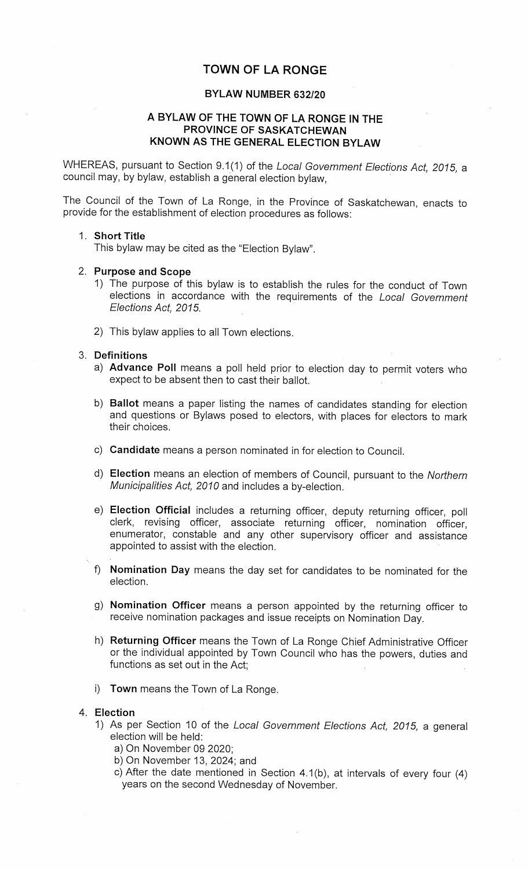# TOWN OF LA RONGE

## BYLAW NUMBER 632/20

## A BYLAW OF THE TOWN OF LA RONGE IN THEPROVINCE OF SASKATCHEWANKNOWN AS THE GENERAL ELECTION BYLAW

WHEREAS, pursuant to Section 9.1(1) of the Local Government Elections Act, 2015, acouncil may, by bylaw, establish a general election bylaw,

The Council of the Town of La Range, in the Province of Saskatchewan, enacts toprovide for the establishment of election procedures as follows:

#### 1. Short Title

This bylaw may be cited as the "Election Bylaw".

#### 2. Purpose and Scope

- 1) The purpose of this bylaw is to establish the rules for the conduct of Townelections in accordance with the requirements of the *Local Government* Elections Act, 2015.
- 2) This bylaw applies to all Town elections.

#### 3. Definitions

- a) Advance Poll means a poll held prior to election day to permit voters whoexpect to be absent then to cast their ballot.
- b) Ballot means a paper listing the names of candidates standing for election and questions or Bylaws posed to electors, with places for electors to marktheir choices.
- c) Candidate means a person nominated in for election to Council.
- d) Election means an election of members of Council, pursuant to the NorthernMunicipalities Act, 2010 and includes a by-election.
- e) Election Official includes a returning officer, deputy returning officer, poll clerk, revising officer, associate returning officer, nomination officer, enumerator, constable and any other supervisory officer and assistanceappointed to assist with the election.
- f) Nomination Day means the day set for candidates to be nominated for theelection.
- g) Nomination Officer means a person appointed by the returning officer toreceive nomination packages and issue receipts on Nomination Day.
- h) Returning Officer means the Town of La Ronge Chief Administrative Officerr the individual appointed by Town Council who has the powers, duties and functions as set out in the Act;
- i) Town means the Town of La Ronge.

#### 4. Election

- 1) As per Section 10 of the Local Government Elections Act, 2015, a general election will be held:
	- a) On November 09 2020;
	- b) On November 13, 2024; and
	- ) After the date mentioned in Section 4.1(b), at intervals of every four (4) years on the second Wednesday of November.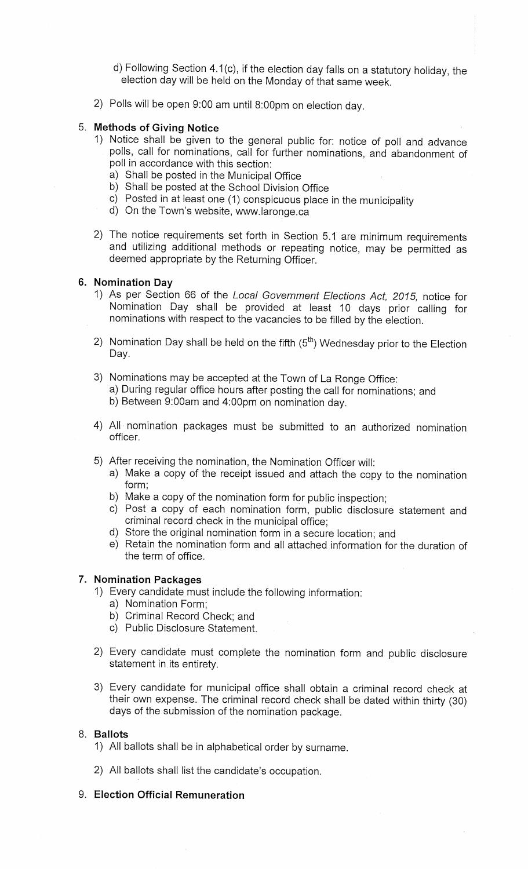- d) Following Section 4.1 (c), if the election day falls on a statutory holiday, theelection day will be held on the Monday of that same week.
- 2) Polls will be open 9:00 am until 8:00pm on election day.

## 5. Methods of Giving Notice

- 1) Notice shall be given to the general public for: notice of poll and advance polls, call for nominations, call for further nominations, and abandonment ofpoll in accordance with this section:
	- a) Shall be posted in the Municipal Office
	- b) Shall be posted at the School Division Office
	- $\mathcal{L}$ ) Posted in at least one (1) conspicuous place in the municipality
	- d) On the Town's website, www.laronge.ca
- 2) The notice requirements set forth in Section 5.1 are minimum requirements and utilizing additional methods or repeating notice, may be permitted asdeemed appropriate by the Returning Officer.

## 6. Nomination Day

- 1) As per Section 66 of the Local Government Elections Act, 2015, notice for Nomination Day shall be provided at least 10 days prior calling fornominations with respect to the vacancies to be filled by the election.
- 2) Nomination Day shall be held on the fifth  $(5<sup>th</sup>)$  Wednesday prior to the Election Day.
- 3) Nominations may be accepted at the Town of La Ronge Office: a) During regular office hours after posting the call for nominations; andb) Between 9:00am and 4:00pm on nomination day.
- 4) All nomination packages must be submitted to an authorized nominationofficer.
- 5) After receiving the nomination, the Nomination Officer will:
	- a) Make a copy of the receipt issued and attach the copy to the nominationform;
	- b) Make a copy of the nomination form for public inspection;
	- ) Post a copy of each nomination form, public disclosure statement and criminal record check in the municipal office;
	- l) Store the original nomination form in a secure location; and
	- e) Retain the nomination form and all attached information for the duration ofthe term of office.

## 7. Nomination Packages

- 1) Every candidate must include the following information:
	- a) Nomination Form;
	- ) Criminal Record Check; and
	- ) Public Disclosure Statement.
- 2) Every candidate must complete the nomination form and public disclosurestatement in its entirety.
- 3) Every candidate for municipal office shall obtain a criminal record check atheir own expense. The criminal record check shall be dated within thirty (30) days of the submission of the nomination package.

## 8. Ballots

- 1) All ballots shall be in alphabetical order by surname.
- 2) All ballots shall list the candidate's occupation.

# 9. Election Official Remuneration